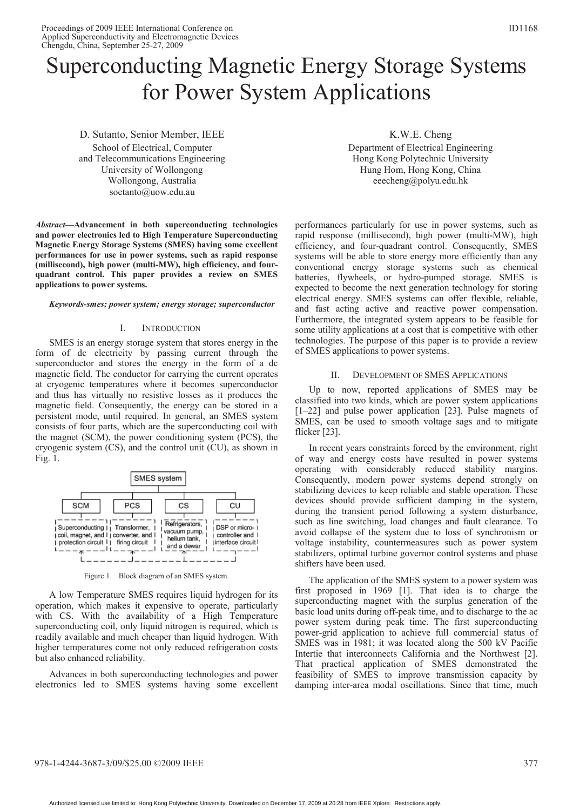# Superconducting Magnetic Energy Storage Systems for Power System Applications

D. Sutanto, Senior Member, IEEE School of Electrical, Computer and Telecommunications Engineering University of Wollongong Wollongong, Australia soetanto@uow.edu.au

*Abstract***—Advancement in both superconducting technologies and power electronics led to High Temperature Superconducting Magnetic Energy Storage Systems (SMES) having some excellent performances for use in power systems, such as rapid response (millisecond), high power (multi-MW), high efficiency, and fourquadrant control. This paper provides a review on SMES applications to power systems.** 

#### *Keywords-smes; power system; energy storage; superconductor*

#### I. INTRODUCTION

SMES is an energy storage system that stores energy in the form of dc electricity by passing current through the superconductor and stores the energy in the form of a dc magnetic field. The conductor for carrying the current operates at cryogenic temperatures where it becomes superconductor and thus has virtually no resistive losses as it produces the magnetic field. Consequently, the energy can be stored in a persistent mode, until required. In general, an SMES system consists of four parts, which are the superconducting coil with the magnet (SCM), the power conditioning system (PCS), the cryogenic system (CS), and the control unit (CU), as shown in Fig. 1.



Figure 1. Block diagram of an SMES system.

A low Temperature SMES requires liquid hydrogen for its operation, which makes it expensive to operate, particularly with CS. With the availability of a High Temperature superconducting coil, only liquid nitrogen is required, which is readily available and much cheaper than liquid hydrogen. With higher temperatures come not only reduced refrigeration costs but also enhanced reliability.

Advances in both superconducting technologies and power electronics led to SMES systems having some excellent

K.W.E. Cheng Department of Electrical Engineering Hong Kong Polytechnic University Hung Hom, Hong Kong, China eeecheng@polyu.edu.hk

performances particularly for use in power systems, such as rapid response (millisecond), high power (multi-MW), high efficiency, and four-quadrant control. Consequently, SMES systems will be able to store energy more efficiently than any conventional energy storage systems such as chemical batteries, flywheels, or hydro-pumped storage. SMES is expected to become the next generation technology for storing electrical energy. SMES systems can offer flexible, reliable, and fast acting active and reactive power compensation. Furthermore, the integrated system appears to be feasible for some utility applications at a cost that is competitive with other technologies. The purpose of this paper is to provide a review of SMES applications to power systems.

#### II. DEVELOPMENT OF SMES APPLICATIONS

Up to now, reported applications of SMES may be classified into two kinds, which are power system applications [1–22] and pulse power application [23]. Pulse magnets of SMES, can be used to smooth voltage sags and to mitigate flicker [23].

In recent years constraints forced by the environment, right of way and energy costs have resulted in power systems operating with considerably reduced stability margins. Consequently, modern power systems depend strongly on stabilizing devices to keep reliable and stable operation. These devices should provide sufficient damping in the system, during the transient period following a system disturbance, such as line switching, load changes and fault clearance. To avoid collapse of the system due to loss of synchronism or voltage instability, countermeasures such as power system stabilizers, optimal turbine governor control systems and phase shifters have been used.

The application of the SMES system to a power system was first proposed in 1969 [1]. That idea is to charge the superconducting magnet with the surplus generation of the basic load units during off-peak time, and to discharge to the ac power system during peak time. The first superconducting power-grid application to achieve full commercial status of SMES was in 1981; it was located along the 500 kV Pacific Intertie that interconnects California and the Northwest [2]. That practical application of SMES demonstrated the feasibility of SMES to improve transmission capacity by damping inter-area modal oscillations. Since that time, much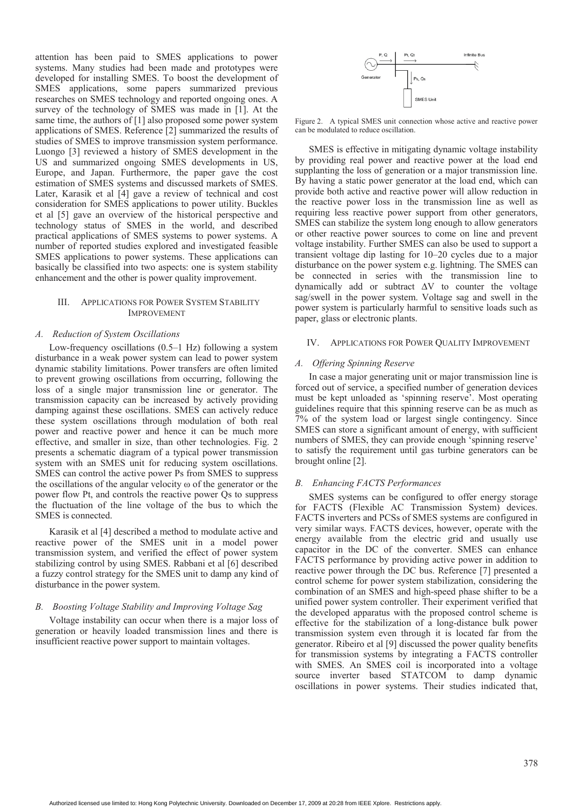attention has been paid to SMES applications to power systems. Many studies had been made and prototypes were developed for installing SMES. To boost the development of SMES applications, some papers summarized previous researches on SMES technology and reported ongoing ones. A survey of the technology of SMES was made in [1]. At the same time, the authors of [1] also proposed some power system applications of SMES. Reference [2] summarized the results of studies of SMES to improve transmission system performance. Luongo [3] reviewed a history of SMES development in the US and summarized ongoing SMES developments in US, Europe, and Japan. Furthermore, the paper gave the cost estimation of SMES systems and discussed markets of SMES. Later, Karasik et al [4] gave a review of technical and cost consideration for SMES applications to power utility. Buckles et al [5] gave an overview of the historical perspective and technology status of SMES in the world, and described practical applications of SMES systems to power systems. A number of reported studies explored and investigated feasible SMES applications to power systems. These applications can basically be classified into two aspects: one is system stability enhancement and the other is power quality improvement.

## III. APPLICATIONS FOR POWER SYSTEM STABILITY IMPROVEMENT

## *A. Reduction of System Oscillations*

Low-frequency oscillations (0.5–1 Hz) following a system disturbance in a weak power system can lead to power system dynamic stability limitations. Power transfers are often limited to prevent growing oscillations from occurring, following the loss of a single major transmission line or generator. The transmission capacity can be increased by actively providing damping against these oscillations. SMES can actively reduce these system oscillations through modulation of both real power and reactive power and hence it can be much more effective, and smaller in size, than other technologies. Fig. 2 presents a schematic diagram of a typical power transmission system with an SMES unit for reducing system oscillations. SMES can control the active power Ps from SMES to suppress the oscillations of the angular velocity  $\omega$  of the generator or the power flow Pt, and controls the reactive power Qs to suppress the fluctuation of the line voltage of the bus to which the SMES is connected.

Karasik et al [4] described a method to modulate active and reactive power of the SMES unit in a model power transmission system, and verified the effect of power system stabilizing control by using SMES. Rabbani et al [6] described a fuzzy control strategy for the SMES unit to damp any kind of disturbance in the power system.

## *B. Boosting Voltage Stability and Improving Voltage Sag*

Voltage instability can occur when there is a major loss of generation or heavily loaded transmission lines and there is insufficient reactive power support to maintain voltages.



Figure 2. A typical SMES unit connection whose active and reactive power can be modulated to reduce oscillation.

SMES is effective in mitigating dynamic voltage instability by providing real power and reactive power at the load end supplanting the loss of generation or a major transmission line. By having a static power generator at the load end, which can provide both active and reactive power will allow reduction in the reactive power loss in the transmission line as well as requiring less reactive power support from other generators, SMES can stabilize the system long enough to allow generators or other reactive power sources to come on line and prevent voltage instability. Further SMES can also be used to support a transient voltage dip lasting for 10–20 cycles due to a major disturbance on the power system e.g. lightning. The SMES can be connected in series with the transmission line to dynamically add or subtract ΔV to counter the voltage sag/swell in the power system. Voltage sag and swell in the power system is particularly harmful to sensitive loads such as paper, glass or electronic plants.

## IV. APPLICATIONS FOR POWER QUALITY IMPROVEMENT

#### *A. Offering Spinning Reserve*

In case a major generating unit or major transmission line is forced out of service, a specified number of generation devices must be kept unloaded as 'spinning reserve'. Most operating guidelines require that this spinning reserve can be as much as 7% of the system load or largest single contingency. Since SMES can store a significant amount of energy, with sufficient numbers of SMES, they can provide enough 'spinning reserve' to satisfy the requirement until gas turbine generators can be brought online [2].

## *B. Enhancing FACTS Performances*

SMES systems can be configured to offer energy storage for FACTS (Flexible AC Transmission System) devices. FACTS inverters and PCSs of SMES systems are configured in very similar ways. FACTS devices, however, operate with the energy available from the electric grid and usually use capacitor in the DC of the converter. SMES can enhance FACTS performance by providing active power in addition to reactive power through the DC bus. Reference [7] presented a control scheme for power system stabilization, considering the combination of an SMES and high-speed phase shifter to be a unified power system controller. Their experiment verified that the developed apparatus with the proposed control scheme is effective for the stabilization of a long-distance bulk power transmission system even through it is located far from the generator. Ribeiro et al [9] discussed the power quality benefits for transmission systems by integrating a FACTS controller with SMES. An SMES coil is incorporated into a voltage source inverter based STATCOM to damp dynamic oscillations in power systems. Their studies indicated that,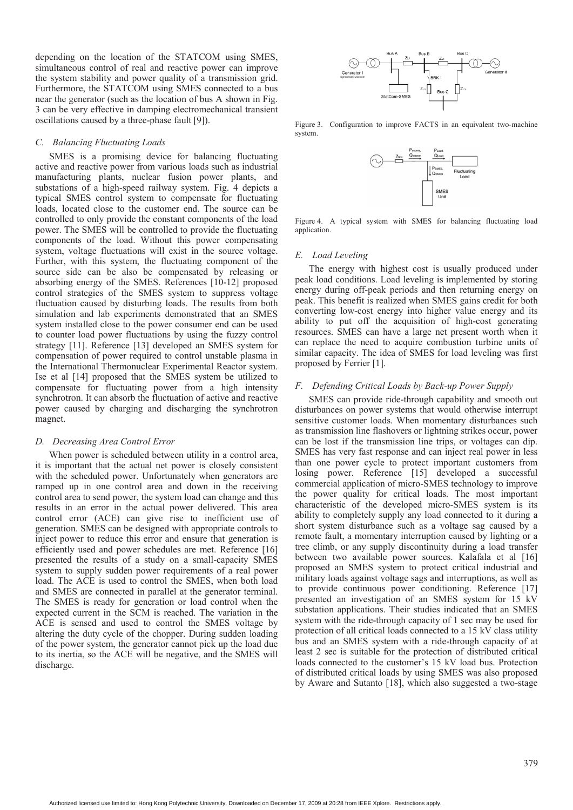depending on the location of the STATCOM using SMES, simultaneous control of real and reactive power can improve the system stability and power quality of a transmission grid. Furthermore, the STATCOM using SMES connected to a bus near the generator (such as the location of bus A shown in Fig. 3 can be very effective in damping electromechanical transient oscillations caused by a three-phase fault [9]).

## *C. Balancing Fluctuating Loads*

SMES is a promising device for balancing fluctuating active and reactive power from various loads such as industrial manufacturing plants, nuclear fusion power plants, and substations of a high-speed railway system. Fig. 4 depicts a typical SMES control system to compensate for fluctuating loads, located close to the customer end. The source can be controlled to only provide the constant components of the load power. The SMES will be controlled to provide the fluctuating components of the load. Without this power compensating system, voltage fluctuations will exist in the source voltage. Further, with this system, the fluctuating component of the source side can be also be compensated by releasing or absorbing energy of the SMES. References [10-12] proposed control strategies of the SMES system to suppress voltage fluctuation caused by disturbing loads. The results from both simulation and lab experiments demonstrated that an SMES system installed close to the power consumer end can be used to counter load power fluctuations by using the fuzzy control strategy [11]. Reference [13] developed an SMES system for compensation of power required to control unstable plasma in the International Thermonuclear Experimental Reactor system. Ise et al [14] proposed that the SMES system be utilized to compensate for fluctuating power from a high intensity synchrotron. It can absorb the fluctuation of active and reactive power caused by charging and discharging the synchrotron magnet.

#### *D. Decreasing Area Control Error*

When power is scheduled between utility in a control area, it is important that the actual net power is closely consistent with the scheduled power. Unfortunately when generators are ramped up in one control area and down in the receiving control area to send power, the system load can change and this results in an error in the actual power delivered. This area control error (ACE) can give rise to inefficient use of generation. SMES can be designed with appropriate controls to inject power to reduce this error and ensure that generation is efficiently used and power schedules are met. Reference [16] presented the results of a study on a small-capacity SMES system to supply sudden power requirements of a real power load. The ACE is used to control the SMES, when both load and SMES are connected in parallel at the generator terminal. The SMES is ready for generation or load control when the expected current in the SCM is reached. The variation in the ACE is sensed and used to control the SMES voltage by altering the duty cycle of the chopper. During sudden loading of the power system, the generator cannot pick up the load due to its inertia, so the ACE will be negative, and the SMES will discharge.



Figure 3. Configuration to improve FACTS in an equivalent two-machine system.



Figure 4. A typical system with SMES for balancing fluctuating load application.

#### *E. Load Leveling*

The energy with highest cost is usually produced under peak load conditions. Load leveling is implemented by storing energy during off-peak periods and then returning energy on peak. This benefit is realized when SMES gains credit for both converting low-cost energy into higher value energy and its ability to put off the acquisition of high-cost generating resources. SMES can have a large net present worth when it can replace the need to acquire combustion turbine units of similar capacity. The idea of SMES for load leveling was first proposed by Ferrier [1].

## *F. Defending Critical Loads by Back-up Power Supply*

SMES can provide ride-through capability and smooth out disturbances on power systems that would otherwise interrupt sensitive customer loads. When momentary disturbances such as transmission line flashovers or lightning strikes occur, power can be lost if the transmission line trips, or voltages can dip. SMES has very fast response and can inject real power in less than one power cycle to protect important customers from losing power. Reference [15] developed a successful commercial application of micro-SMES technology to improve the power quality for critical loads. The most important characteristic of the developed micro-SMES system is its ability to completely supply any load connected to it during a short system disturbance such as a voltage sag caused by a remote fault, a momentary interruption caused by lighting or a tree climb, or any supply discontinuity during a load transfer between two available power sources. Kalafala et al [16] proposed an SMES system to protect critical industrial and military loads against voltage sags and interruptions, as well as to provide continuous power conditioning. Reference [17] presented an investigation of an SMES system for 15 kV substation applications. Their studies indicated that an SMES system with the ride-through capacity of 1 sec may be used for protection of all critical loads connected to a 15 kV class utility bus and an SMES system with a ride-through capacity of at least 2 sec is suitable for the protection of distributed critical loads connected to the customer's 15 kV load bus. Protection of distributed critical loads by using SMES was also proposed by Aware and Sutanto [18], which also suggested a two-stage